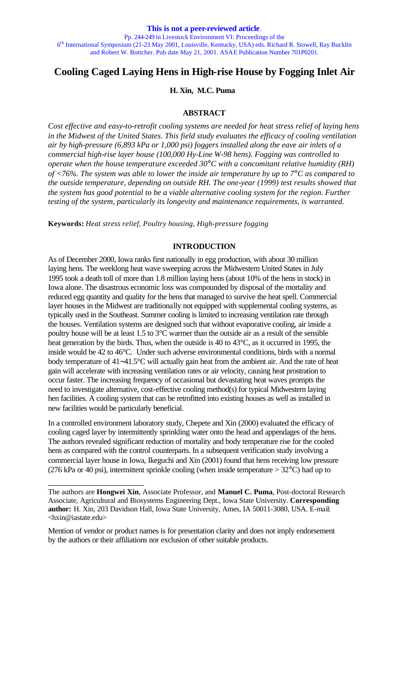# **Cooling Caged Laying Hens in High-rise House by Fogging Inlet Air**

# **H. Xin, M.C. Puma**

# **ABSTRACT**

*Cost effective and easy-to-retrofit cooling systems are needed for heat stress relief of laying hens in the Midwest of the United States. This field study evaluates the efficacy of cooling ventilation air by high-pressure (6,893 kPa or 1,000 psi) foggers installed along the eave air inlets of a commercial high-rise layer house (100,000 Hy-Line W-98 hens). Fogging was controlled to operate when the house temperature exceeded 30°C with a concomitant relative humidity (RH) of <76%. The system was able to lower the inside air temperature by up to 7°C as compared to the outside temperature, depending on outside RH. The one-year (1999) test results showed that the system has good potential to be a viable alternative cooling system for the region. Further testing of the system, particularly its longevity and maintenance requirements, is warranted.*

**Keywords:** *Heat stress relief, Poultry housing, High-pressure fogging*

#### **INTRODUCTION**

As of December 2000, Iowa ranks first nationally in egg production, with about 30 million laying hens. The weeklong heat wave sweeping across the Midwestern United States in July 1995 took a death toll of more than 1.8 million laying hens (about 10% of the hens in stock) in Iowa alone. The disastrous economic loss was compounded by disposal of the mortality and reduced egg quantity and quality for the hens that managed to survive the heat spell. Commercial layer houses in the Midwest are traditionally not equipped with supplemental cooling systems, as typically used in the Southeast. Summer cooling is limited to increasing ventilation rate through the houses. Ventilation systems are designed such that without evaporative cooling, air inside a poultry house will be at least 1.5 to 3°C warmer than the outside air as a result of the sensible heat generation by the birds. Thus, when the outside is 40 to 43°C, as it occurred in 1995, the inside would be 42 to 46°C. Under such adverse environmental conditions, birds with a normal body temperature of 41∼41.5°C will actually gain heat from the ambient air. And the rate of heat gain will accelerate with increasing ventilation rates or air velocity, causing heat prostration to occur faster. The increasing frequency of occasional but devastating heat waves prompts the need to investigate alternative, cost-effective cooling method(s) for typical Midwestern laying hen facilities. A cooling system that can be retrofitted into existing houses as well as installed in new facilities would be particularly beneficial.

In a controlled environment laboratory study, Chepete and Xin (2000) evaluated the efficacy of cooling caged layer by intermittently sprinkling water onto the head and appendages of the hens. The authors revealed significant reduction of mortality and body temperature rise for the cooled hens as compared with the control counterparts. In a subsequent verification study involving a commercial layer house in Iowa, Ikeguchi and Xin (2001) found that hens receiving low pressure (276 kPa or 40 psi), intermittent sprinkle cooling (when inside temperature  $> 32^{\circ}$ C) had up to

l

Mention of vendor or product names is for presentation clarity and does not imply endorsement by the authors or their affiliations nor exclusion of other suitable products.

The authors are **Hongwei Xin**, Associate Professor, and **Manuel C. Puma**, Post-doctoral Research Associate, Agricultural and Biosystems Engineering Dept., Iowa State University. **Corresponding author:** H. Xin, 203 Davidson Hall, Iowa State University, Ames, IA 50011-3080, USA. E-mail: <hxin@iastate.edu>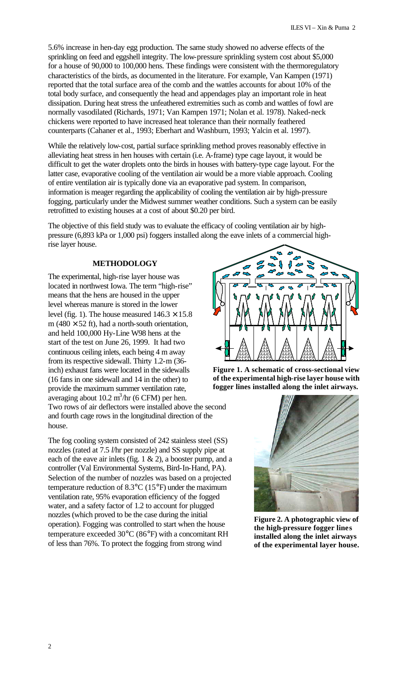5.6% increase in hen-day egg production. The same study showed no adverse effects of the sprinkling on feed and eggshell integrity. The low-pressure sprinkling system cost about \$5,000 for a house of 90,000 to 100,000 hens. These findings were consistent with the thermoregulatory characteristics of the birds, as documented in the literature. For example, Van Kampen (1971) reported that the total surface area of the comb and the wattles accounts for about 10% of the total body surface, and consequently the head and appendages play an important role in heat dissipation. During heat stress the unfeathered extremities such as comb and wattles of fowl are normally vasodilated (Richards, 1971; Van Kampen 1971; Nolan et al. 1978). Naked-neck chickens were reported to have increased heat tolerance than their normally feathered counterparts (Cahaner et al., 1993; Eberhart and Washburn, 1993; Yalcin et al. 1997).

While the relatively low-cost, partial surface sprinkling method proves reasonably effective in alleviating heat stress in hen houses with certain (i.e. A-frame) type cage layout, it would be difficult to get the water droplets onto the birds in houses with battery-type cage layout. For the latter case, evaporative cooling of the ventilation air would be a more viable approach. Cooling of entire ventilation air is typically done via an evaporative pad system. In comparison, information is meager regarding the applicability of cooling the ventilation air by high-pressure fogging, particularly under the Midwest summer weather conditions. Such a system can be easily retrofitted to existing houses at a cost of about \$0.20 per bird.

The objective of this field study was to evaluate the efficacy of cooling ventilation air by highpressure (6,893 kPa or 1,000 psi) foggers installed along the eave inlets of a commercial highrise layer house.

# **METHODOLOGY**

The experimental, high-rise layer house was located in northwest Iowa. The term "high-rise" means that the hens are housed in the upper level whereas manure is stored in the lower level (fig. 1). The house measured  $146.3 \times 15.8$ m (480  $\times$  52 ft), had a north-south orientation, and held 100,000 Hy-Line W98 hens at the start of the test on June 26, 1999. It had two continuous ceiling inlets, each being 4 m away from its respective sidewall. Thirty 1.2-m (36 inch) exhaust fans were located in the sidewalls (16 fans in one sidewall and 14 in the other) to provide the maximum summer ventilation rate, averaging about  $10.2 \text{ m}^3/\text{hr}$  (6 CFM) per hen. Two rows of air deflectors were installed above the second and fourth cage rows in the longitudinal direction of the house.

The fog cooling system consisted of 242 stainless steel (SS) nozzles (rated at 7.5 *l*/hr per nozzle) and SS supply pipe at each of the eave air inlets (fig. 1 & 2), a booster pump, and a controller (Val Environmental Systems, Bird-In-Hand, PA). Selection of the number of nozzles was based on a projected temperature reduction of 8.3°C (15°F) under the maximum ventilation rate, 95% evaporation efficiency of the fogged water, and a safety factor of 1.2 to account for plugged nozzles (which proved to be the case during the initial operation). Fogging was controlled to start when the house temperature exceeded 30°C (86°F) with a concomitant RH of less than 76%. To protect the fogging from strong wind



**Figure 1. A schematic of cross-sectional view of the experimental high-rise layer house with fogger lines installed along the inlet airways.**



**Figure 2. A photographic view of the high-pressure fogger lines installed along the inlet airways of the experimental layer house.**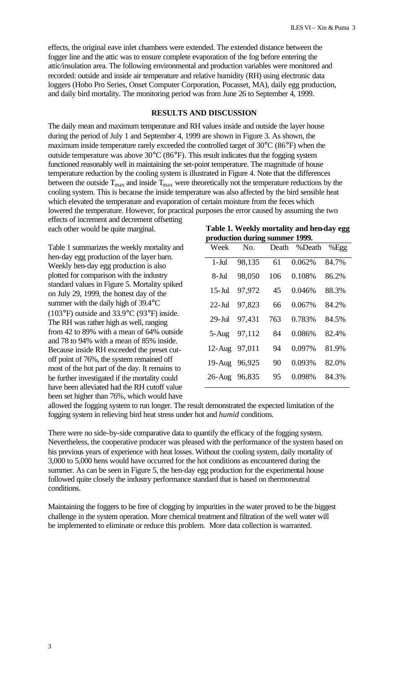effects, the original eave inlet chambers were extended. The extended distance between the fogger line and the attic was to ensure complete evaporation of the fog before entering the attic/insulation area. The following environmental and production variables were monitored and recorded: outside and inside air temperature and relative humidity (RH) using electronic data loggers (Hobo Pro Series, Onset Computer Corporation, Pocasset, MA), daily egg production, and daily bird mortality. The monitoring period was from June 26 to September 4, 1999.

# **RESULTS AND DISCUSSION**

The daily mean and maximum temperature and RH values inside and outside the layer house during the period of July 1 and September 4, 1999 are shown in Figure 3. As shown, the maximum inside temperature rarely exceeded the controlled target of 30°C (86°F) when the outside temperature was above  $30^{\circ}$ C (86 $^{\circ}$ F). This result indicates that the fogging system functioned reasonably well in maintaining the set-point temperature. The magnitude of house temperature reduction by the cooling system is illustrated in Figure 4. Note that the differences between the outside  $T_{max}$  and inside  $T_{max}$  were theoretically not the temperature reductions by the cooling system. This is because the inside temperature was also affected by the bird sensible heat which elevated the temperature and evaporation of certain moisture from the feces which lowered the temperature. However, for practical purposes the error caused by assuming the two effects of increment and decrement offsetting

each other would be quite marginal.

Table 1 summarizes the weekly mortality and hen-day egg production of the layer barn. Weekly hen-day egg production is also plotted for comparison with the industry standard values in Figure 5. Mortality spiked on July 29, 1999, the hottest day of the summer with the daily high of 39.4°C (103°F) outside and 33.9°C (93°F) inside. The RH was rather high as well, ranging from 42 to 89% with a mean of 64% outside and 78 to 94% with a mean of 85% inside. Because inside RH exceeded the preset cutoff point of 76%, the system remained off most of the hot part of the day. It remains to be further investigated if the mortality could have been alleviated had the RH cutoff value been set higher than 76%, which would have

| Table 1. Weekly mortality and hen-day egg |  |
|-------------------------------------------|--|
| production during summer 1999.            |  |

| д,<br>Week          | o<br>No. | Death | %Death | %Egg  |
|---------------------|----------|-------|--------|-------|
| $1-Jul$             | 98,135   | 61    | 0.062% | 84.7% |
| 8-Jul               | 98,050   | 106   | 0.108% | 86.2% |
| $15$ -Jul           | 97,972   | 45    | 0.046% | 88.3% |
| $22$ -Jul           | 97,823   | 66    | 0.067% | 84.2% |
| $29 - \mathrm{Jul}$ | 97,431   | 763   | 0.783% | 84.5% |
| $5 - Aug$           | 97,112   | 84    | 0.086% | 82.4% |
| $12$ -Aug           | 97,011   | 94    | 0.097% | 81.9% |
| $19-Aug$            | 96,925   | 90    | 0.093% | 82.0% |
| $26$ -Aug           | 96,835   | 95    | 0.098% | 84.3% |

allowed the fogging system to run longer. The result demonstrated the expected limitation of the fogging system in relieving bird heat stress under hot and *humid* conditions.

There were no side-by-side comparative data to quantify the efficacy of the fogging system. Nevertheless, the cooperative producer was pleased with the performance of the system based on his previous years of experience with heat losses. Without the cooling system, daily mortality of 3,000 to 5,000 hens would have occurred for the hot conditions as encountered during the summer. As can be seen in Figure 5, the hen-day egg production for the experimental house followed quite closely the industry performance standard that is based on thermoneutral conditions.

Maintaining the foggers to be free of clogging by impurities in the water proved to be the biggest challenge in the system operation. More chemical treatment and filtration of the well water will be implemented to eliminate or reduce this problem. More data collection is warranted.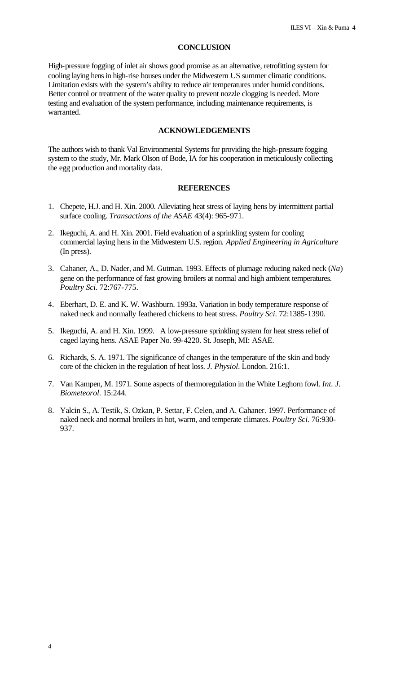#### **CONCLUSION**

High-pressure fogging of inlet air shows good promise as an alternative, retrofitting system for cooling laying hens in high-rise houses under the Midwestern US summer climatic conditions. Limitation exists with the system's ability to reduce air temperatures under humid conditions. Better control or treatment of the water quality to prevent nozzle clogging is needed. More testing and evaluation of the system performance, including maintenance requirements, is warranted.

#### **ACKNOWLEDGEMENTS**

The authors wish to thank Val Environmental Systems for providing the high-pressure fogging system to the study, Mr. Mark Olson of Bode, IA for his cooperation in meticulously collecting the egg production and mortality data.

#### **REFERENCES**

- 1. Chepete, H.J. and H. Xin. 2000. Alleviating heat stress of laying hens by intermittent partial surface cooling. *Transactions of the ASAE* 43(4): 965-971.
- 2. Ikeguchi, A. and H. Xin. 2001. Field evaluation of a sprinkling system for cooling commercial laying hens in the Midwestern U.S. region. *Applied Engineering in Agriculture* (In press).
- 3. Cahaner, A., D. Nader, and M. Gutman. 1993. Effects of plumage reducing naked neck (*Na*) gene on the performance of fast growing broilers at normal and high ambient temperatures. *Poultry Sci*. 72:767-775.
- 4. Eberhart, D. E. and K. W. Washburn. 1993a. Variation in body temperature response of naked neck and normally feathered chickens to heat stress. *Poultry Sci*. 72:1385-1390.
- 5. Ikeguchi, A. and H. Xin. 1999. A low-pressure sprinkling system for heat stress relief of caged laying hens. ASAE Paper No. 99-4220. St. Joseph, MI: ASAE.
- 6. Richards, S. A. 1971. The significance of changes in the temperature of the skin and body core of the chicken in the regulation of heat loss. *J. Physiol*. London. 216:1.
- 7. Van Kampen, M. 1971. Some aspects of thermoregulation in the White Leghorn fowl. *Int. J. Biometeorol*. 15:244.
- 8. Yalcin S., A. Testik, S. Ozkan, P. Settar, F. Celen, and A. Cahaner. 1997. Performance of naked neck and normal broilers in hot, warm, and temperate climates. *Poultry Sci*. 76:930- 937.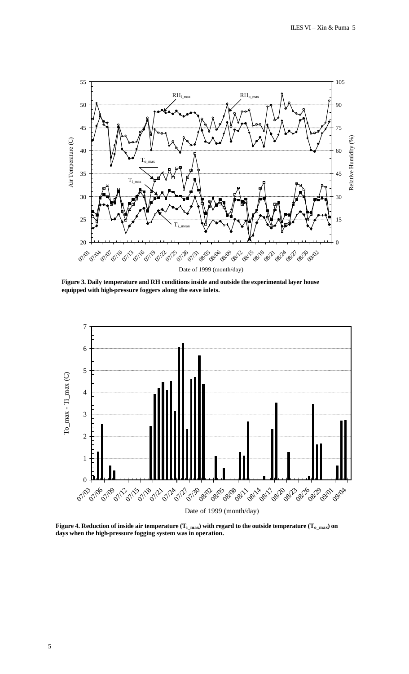

**Figure 3. Daily temperature and RH conditions inside and outside the experimental layer house equipped with high-pressure foggers along the eave inlets.**



**Figure 4. Reduction of inside air temperature (** $T_{i\_max}$ **) with regard to the outside temperature (** $T_{o\_max}$ **) on days when the high-pressure fogging system was in operation.**